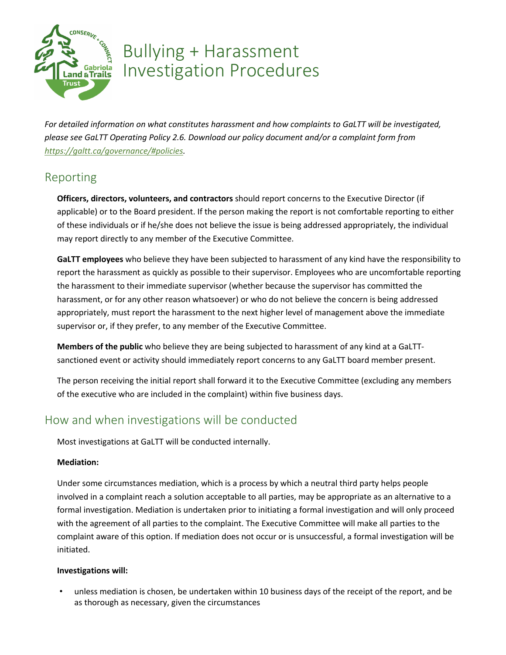

# Bullying + Harassment Investigation Procedures

*For detailed information on what constitutes harassment and how complaints to GaLTT will be investigated, please see GaLTT Operating Policy 2.6. Download our policy document and/or a complaint form from https://galtt.ca/governance/#policies.*

### Reporting

**Officers, directors, volunteers, and contractors** should report concerns to the Executive Director (if applicable) or to the Board president. If the person making the report is not comfortable reporting to either of these individuals or if he/she does not believe the issue is being addressed appropriately, the individual may report directly to any member of the Executive Committee.

**GaLTT employees** who believe they have been subjected to harassment of any kind have the responsibility to report the harassment as quickly as possible to their supervisor. Employees who are uncomfortable reporting the harassment to their immediate supervisor (whether because the supervisor has committed the harassment, or for any other reason whatsoever) or who do not believe the concern is being addressed appropriately, must report the harassment to the next higher level of management above the immediate supervisor or, if they prefer, to any member of the Executive Committee.

**Members of the public** who believe they are being subjected to harassment of any kind at a GaLTTsanctioned event or activity should immediately report concerns to any GaLTT board member present.

The person receiving the initial report shall forward it to the Executive Committee (excluding any members of the executive who are included in the complaint) within five business days.

### How and when investigations will be conducted

Most investigations at GaLTT will be conducted internally.

#### **Mediation:**

Under some circumstances mediation, which is a process by which a neutral third party helps people involved in a complaint reach a solution acceptable to all parties, may be appropriate as an alternative to a formal investigation. Mediation is undertaken prior to initiating a formal investigation and will only proceed with the agreement of all parties to the complaint. The Executive Committee will make all parties to the complaint aware of this option. If mediation does not occur or is unsuccessful, a formal investigation will be initiated.

#### **Investigations will:**

• unless mediation is chosen, be undertaken within 10 business days of the receipt of the report, and be as thorough as necessary, given the circumstances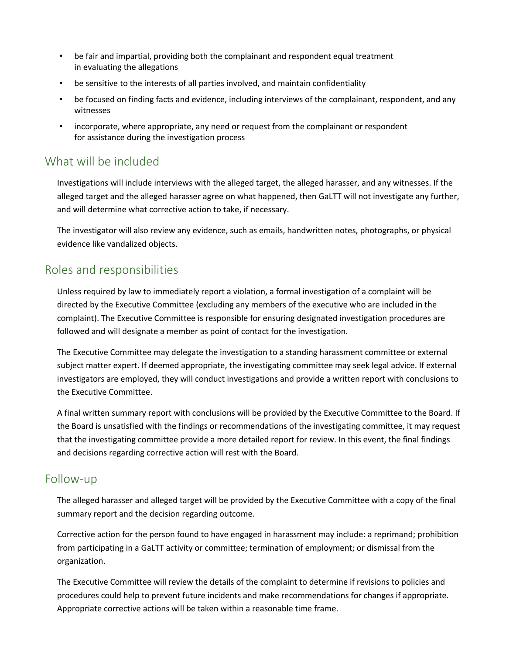- be fair and impartial, providing both the complainant and respondent equal treatment in evaluating the allegations
- be sensitive to the interests of all parties involved, and maintain confidentiality
- be focused on finding facts and evidence, including interviews of the complainant, respondent, and any witnesses
- incorporate, where appropriate, any need or request from the complainant or respondent for assistance during the investigation process

### What will be included

Investigations will include interviews with the alleged target, the alleged harasser, and any witnesses. If the alleged target and the alleged harasser agree on what happened, then GaLTT will not investigate any further, and will determine what corrective action to take, if necessary.

The investigator will also review any evidence, such as emails, handwritten notes, photographs, or physical evidence like vandalized objects.

### Roles and responsibilities

Unless required by law to immediately report a violation, a formal investigation of a complaint will be directed by the Executive Committee (excluding any members of the executive who are included in the complaint). The Executive Committee is responsible for ensuring designated investigation procedures are followed and will designate a member as point of contact for the investigation.

The Executive Committee may delegate the investigation to a standing harassment committee or external subject matter expert. If deemed appropriate, the investigating committee may seek legal advice. If external investigators are employed, they will conduct investigations and provide a written report with conclusions to the Executive Committee.

A final written summary report with conclusions will be provided by the Executive Committee to the Board. If the Board is unsatisfied with the findings or recommendations of the investigating committee, it may request that the investigating committee provide a more detailed report for review. In this event, the final findings and decisions regarding corrective action will rest with the Board.

### Follow-up

The alleged harasser and alleged target will be provided by the Executive Committee with a copy of the final summary report and the decision regarding outcome.

Corrective action for the person found to have engaged in harassment may include: a reprimand; prohibition from participating in a GaLTT activity or committee; termination of employment; or dismissal from the organization.

The Executive Committee will review the details of the complaint to determine if revisions to policies and procedures could help to prevent future incidents and make recommendations for changes if appropriate. Appropriate corrective actions will be taken within a reasonable time frame.